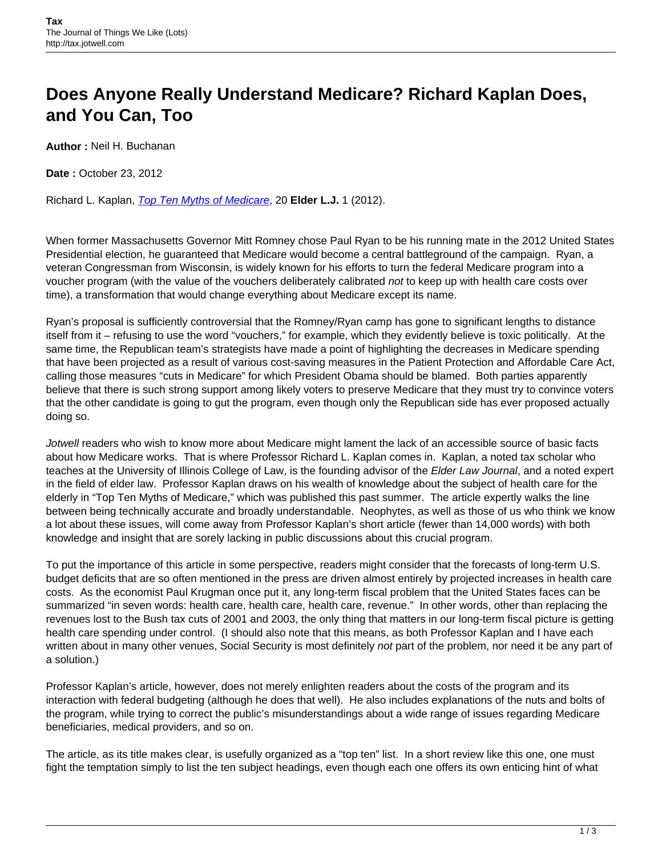## **Does Anyone Really Understand Medicare? Richard Kaplan Does, and You Can, Too**

**Author :** Neil H. Buchanan

**Date :** October 23, 2012

Richard L. Kaplan, [Top Ten Myths of Medicare](https://docs.google.com/viewer?a=v&q=cache:FBqPHnslBG0J:static.ow.ly/docs/TOP%252010%2520MYTHS%2520OF%2520MEDICARE_IGt.pdf+&hl=en&gl=us&pid=bl&srcid=ADGEESgTbRXf2JWSQtzkZz79tBVEq7CPTf5944nagLUCKUUnLP1J_4WS5pXf844dibgr-IZ_HOoull7Pas6cnpjqjX3u72g6sXazhMkjbpqPhP5bfq_ovTb5e2AV-v-Dg9uGax5VSRRv&sig=AHIEtbTIYGntN8LNsJwBYqQc58hDS7psxA), 20 **Elder L.J.** 1 (2012).

When former Massachusetts Governor Mitt Romney chose Paul Ryan to be his running mate in the 2012 United States Presidential election, he guaranteed that Medicare would become a central battleground of the campaign. Ryan, a veteran Congressman from Wisconsin, is widely known for his efforts to turn the federal Medicare program into a voucher program (with the value of the vouchers deliberately calibrated not to keep up with health care costs over time), a transformation that would change everything about Medicare except its name.

Ryan's proposal is sufficiently controversial that the Romney/Ryan camp has gone to significant lengths to distance itself from it – refusing to use the word "vouchers," for example, which they evidently believe is toxic politically. At the same time, the Republican team's strategists have made a point of highlighting the decreases in Medicare spending that have been projected as a result of various cost-saving measures in the Patient Protection and Affordable Care Act, calling those measures "cuts in Medicare" for which President Obama should be blamed. Both parties apparently believe that there is such strong support among likely voters to preserve Medicare that they must try to convince voters that the other candidate is going to gut the program, even though only the Republican side has ever proposed actually doing so.

Jotwell readers who wish to know more about Medicare might lament the lack of an accessible source of basic facts about how Medicare works. That is where Professor Richard L. Kaplan comes in. Kaplan, a noted tax scholar who teaches at the University of Illinois College of Law, is the founding advisor of the Elder Law Journal, and a noted expert in the field of elder law. Professor Kaplan draws on his wealth of knowledge about the subject of health care for the elderly in "Top Ten Myths of Medicare," which was published this past summer. The article expertly walks the line between being technically accurate and broadly understandable. Neophytes, as well as those of us who think we know a lot about these issues, will come away from Professor Kaplan's short article (fewer than 14,000 words) with both knowledge and insight that are sorely lacking in public discussions about this crucial program.

To put the importance of this article in some perspective, readers might consider that the forecasts of long-term U.S. budget deficits that are so often mentioned in the press are driven almost entirely by projected increases in health care costs. As the economist Paul Krugman once put it, any long-term fiscal problem that the United States faces can be summarized "in seven words: health care, health care, health care, revenue." In other words, other than replacing the revenues lost to the Bush tax cuts of 2001 and 2003, the only thing that matters in our long-term fiscal picture is getting health care spending under control. (I should also note that this means, as both Professor Kaplan and I have each written about in many other venues, Social Security is most definitely not part of the problem, nor need it be any part of a solution.)

Professor Kaplan's article, however, does not merely enlighten readers about the costs of the program and its interaction with federal budgeting (although he does that well). He also includes explanations of the nuts and bolts of the program, while trying to correct the public's misunderstandings about a wide range of issues regarding Medicare beneficiaries, medical providers, and so on.

The article, as its title makes clear, is usefully organized as a "top ten" list. In a short review like this one, one must fight the temptation simply to list the ten subject headings, even though each one offers its own enticing hint of what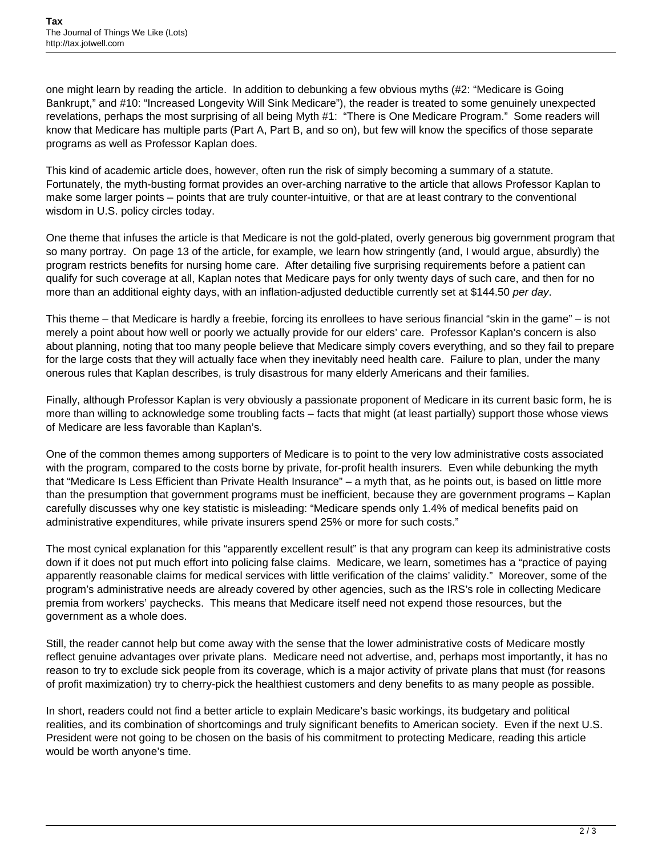one might learn by reading the article. In addition to debunking a few obvious myths (#2: "Medicare is Going Bankrupt," and #10: "Increased Longevity Will Sink Medicare"), the reader is treated to some genuinely unexpected revelations, perhaps the most surprising of all being Myth #1: "There is One Medicare Program." Some readers will know that Medicare has multiple parts (Part A, Part B, and so on), but few will know the specifics of those separate programs as well as Professor Kaplan does.

This kind of academic article does, however, often run the risk of simply becoming a summary of a statute. Fortunately, the myth-busting format provides an over-arching narrative to the article that allows Professor Kaplan to make some larger points – points that are truly counter-intuitive, or that are at least contrary to the conventional wisdom in U.S. policy circles today.

One theme that infuses the article is that Medicare is not the gold-plated, overly generous big government program that so many portray. On page 13 of the article, for example, we learn how stringently (and, I would argue, absurdly) the program restricts benefits for nursing home care. After detailing five surprising requirements before a patient can qualify for such coverage at all, Kaplan notes that Medicare pays for only twenty days of such care, and then for no more than an additional eighty days, with an inflation-adjusted deductible currently set at \$144.50 per day.

This theme – that Medicare is hardly a freebie, forcing its enrollees to have serious financial "skin in the game" – is not merely a point about how well or poorly we actually provide for our elders' care. Professor Kaplan's concern is also about planning, noting that too many people believe that Medicare simply covers everything, and so they fail to prepare for the large costs that they will actually face when they inevitably need health care. Failure to plan, under the many onerous rules that Kaplan describes, is truly disastrous for many elderly Americans and their families.

Finally, although Professor Kaplan is very obviously a passionate proponent of Medicare in its current basic form, he is more than willing to acknowledge some troubling facts – facts that might (at least partially) support those whose views of Medicare are less favorable than Kaplan's.

One of the common themes among supporters of Medicare is to point to the very low administrative costs associated with the program, compared to the costs borne by private, for-profit health insurers. Even while debunking the myth that "Medicare Is Less Efficient than Private Health Insurance" – a myth that, as he points out, is based on little more than the presumption that government programs must be inefficient, because they are government programs – Kaplan carefully discusses why one key statistic is misleading: "Medicare spends only 1.4% of medical benefits paid on administrative expenditures, while private insurers spend 25% or more for such costs."

The most cynical explanation for this "apparently excellent result" is that any program can keep its administrative costs down if it does not put much effort into policing false claims. Medicare, we learn, sometimes has a "practice of paying apparently reasonable claims for medical services with little verification of the claims' validity." Moreover, some of the program's administrative needs are already covered by other agencies, such as the IRS's role in collecting Medicare premia from workers' paychecks. This means that Medicare itself need not expend those resources, but the government as a whole does.

Still, the reader cannot help but come away with the sense that the lower administrative costs of Medicare mostly reflect genuine advantages over private plans. Medicare need not advertise, and, perhaps most importantly, it has no reason to try to exclude sick people from its coverage, which is a major activity of private plans that must (for reasons of profit maximization) try to cherry-pick the healthiest customers and deny benefits to as many people as possible.

In short, readers could not find a better article to explain Medicare's basic workings, its budgetary and political realities, and its combination of shortcomings and truly significant benefits to American society. Even if the next U.S. President were not going to be chosen on the basis of his commitment to protecting Medicare, reading this article would be worth anyone's time.